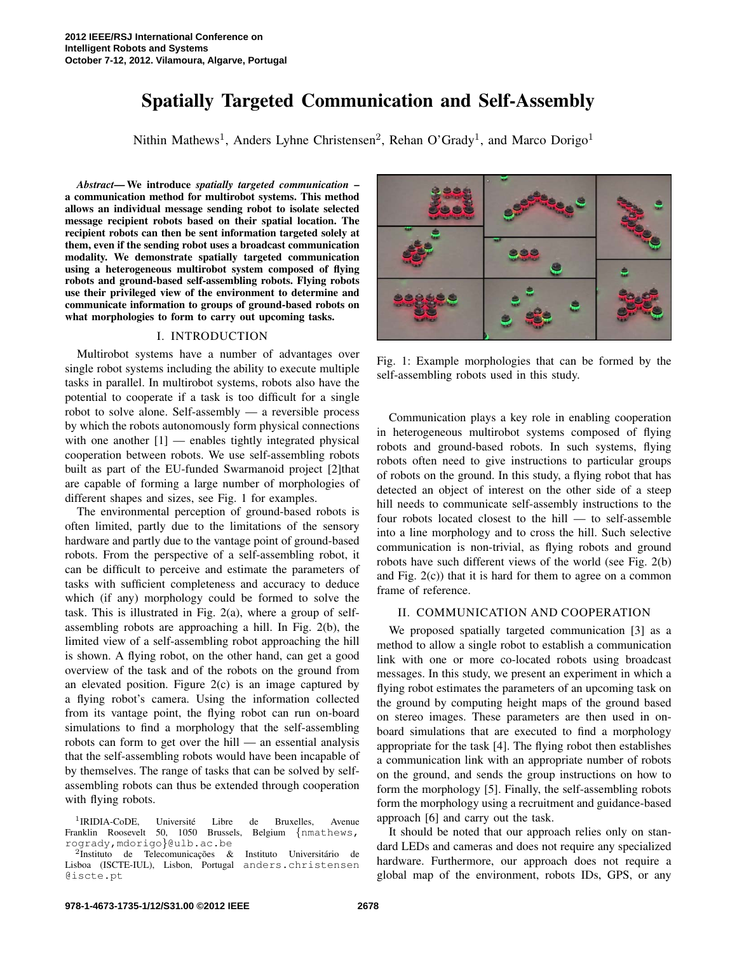# Spatially Targeted Communication and Self-Assembly

Nithin Mathews<sup>1</sup>, Anders Lyhne Christensen<sup>2</sup>, Rehan O'Grady<sup>1</sup>, and Marco Dorigo<sup>1</sup>

*Abstract*— We introduce *spatially targeted communication* – a communication method for multirobot systems. This method allows an individual message sending robot to isolate selected message recipient robots based on their spatial location. The recipient robots can then be sent information targeted solely at them, even if the sending robot uses a broadcast communication modality. We demonstrate spatially targeted communication using a heterogeneous multirobot system composed of flying robots and ground-based self-assembling robots. Flying robots use their privileged view of the environment to determine and communicate information to groups of ground-based robots on what morphologies to form to carry out upcoming tasks.

## I. INTRODUCTION

Multirobot systems have a number of advantages over single robot systems including the ability to execute multiple tasks in parallel. In multirobot systems, robots also have the potential to cooperate if a task is too difficult for a single robot to solve alone. Self-assembly — a reversible process by which the robots autonomously form physical connections with one another  $[1]$  — enables tightly integrated physical cooperation between robots. We use self-assembling robots built as part of the EU-funded Swarmanoid project [2]that are capable of forming a large number of morphologies of different shapes and sizes, see Fig. 1 for examples.

The environmental perception of ground-based robots is often limited, partly due to the limitations of the sensory hardware and partly due to the vantage point of ground-based robots. From the perspective of a self-assembling robot, it can be difficult to perceive and estimate the parameters of tasks with sufficient completeness and accuracy to deduce which (if any) morphology could be formed to solve the task. This is illustrated in Fig. 2(a), where a group of selfassembling robots are approaching a hill. In Fig. 2(b), the limited view of a self-assembling robot approaching the hill is shown. A flying robot, on the other hand, can get a good overview of the task and of the robots on the ground from an elevated position. Figure  $2(c)$  is an image captured by a flying robot's camera. Using the information collected from its vantage point, the flying robot can run on-board simulations to find a morphology that the self-assembling robots can form to get over the hill — an essential analysis that the self-assembling robots would have been incapable of by themselves. The range of tasks that can be solved by selfassembling robots can thus be extended through cooperation with flying robots.



Fig. 1: Example morphologies that can be formed by the self-assembling robots used in this study.

Communication plays a key role in enabling cooperation in heterogeneous multirobot systems composed of flying robots and ground-based robots. In such systems, flying robots often need to give instructions to particular groups of robots on the ground. In this study, a flying robot that has detected an object of interest on the other side of a steep hill needs to communicate self-assembly instructions to the four robots located closest to the hill — to self-assemble into a line morphology and to cross the hill. Such selective communication is non-trivial, as flying robots and ground robots have such different views of the world (see Fig. 2(b) and Fig. 2(c)) that it is hard for them to agree on a common frame of reference.

#### II. COMMUNICATION AND COOPERATION

We proposed spatially targeted communication [3] as a method to allow a single robot to establish a communication link with one or more co-located robots using broadcast messages. In this study, we present an experiment in which a flying robot estimates the parameters of an upcoming task on the ground by computing height maps of the ground based on stereo images. These parameters are then used in onboard simulations that are executed to find a morphology appropriate for the task [4]. The flying robot then establishes a communication link with an appropriate number of robots on the ground, and sends the group instructions on how to form the morphology [5]. Finally, the self-assembling robots form the morphology using a recruitment and guidance-based approach [6] and carry out the task.

It should be noted that our approach relies only on standard LEDs and cameras and does not require any specialized hardware. Furthermore, our approach does not require a global map of the environment, robots IDs, GPS, or any

<sup>&</sup>lt;sup>1</sup>IRIDIA-CoDE, Université Libre de Bruxelles, Avenue Franklin Roosevelt 50, 1050 Brussels, Belgium {nmathews, rogrady,mdorigo}@ulb.ac.be

 ${}^{2}$ Instituto de Telecomunicações & Instituto Universitário de Lisboa (ISCTE-IUL), Lisbon, Portugal anders.christensen @iscte.pt